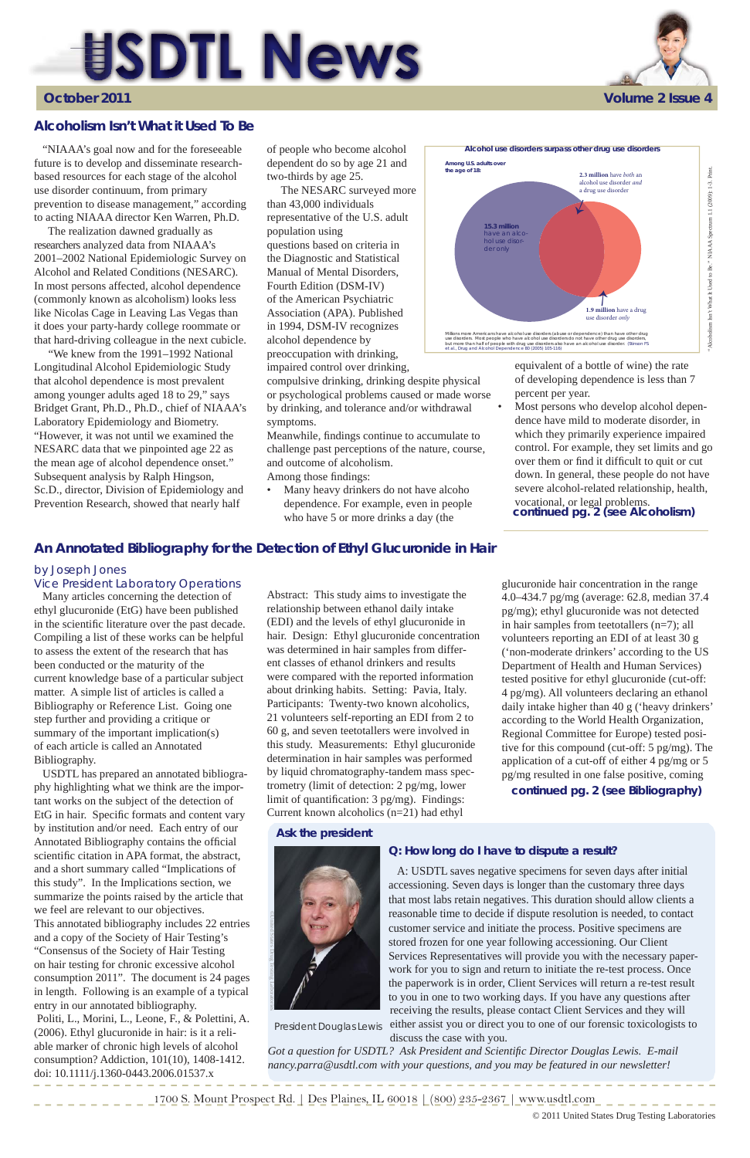# **USDTL News**



© 2011 United States Drug Testing Laboratories

"NIAAA's goal now and for the foreseeable future is to develop and disseminate researchbased resources for each stage of the alcohol use disorder continuum, from primary prevention to disease management," according to acting NIAAA director Ken Warren, Ph.D.

 The realization dawned gradually as researchers analyzed data from NIAAA's 2001–2002 National Epidemiologic Survey on Alcohol and Related Conditions (NESARC). In most persons affected, alcohol dependence (commonly known as alcoholism) looks less like Nicolas Cage in Leaving Las Vegas than it does your party-hardy college roommate or that hard-driving colleague in the next cubicle.

> Meanwhile, findings continue to accumulate to challenge past perceptions of the nature, course, and outcome of alcoholism.

Among those findings:

 "We knew from the 1991–1992 National Longitudinal Alcohol Epidemiologic Study that alcohol dependence is most prevalent among younger adults aged 18 to 29," says Bridget Grant, Ph.D., Ph.D., chief of NIAAA's Laboratory Epidemiology and Biometry. "However, it was not until we examined the NESARC data that we pinpointed age 22 as the mean age of alcohol dependence onset." Subsequent analysis by Ralph Hingson, Sc.D., director, Division of Epidemiology and Prevention Research, showed that nearly half

• Many heavy drinkers do not have alcoho dependence. For example, even in people who have 5 or more drinks a day (the

of people who become alcohol dependent do so by age 21 and two-thirds by age 25.

 The NESARC surveyed more than 43,000 individuals representative of the U.S. adult population using questions based on criteria in the Diagnostic and Statistical Manual of Mental Disorders, Fourth Edition (DSM-IV) of the American Psychiatric Association (APA). Published in 1994, DSM-IV recognizes alcohol dependence by preoccupation with drinking, impaired control over drinking,

compulsive drinking, drinking despite physical or psychological problems caused or made worse by drinking, and tolerance and/or withdrawal symptoms.

USDTL has prepared an annotated bibliography highlighting what we think are the important works on the subject of the detection of EtG in hair. Specific formats and content vary by institution and/or need. Each entry of our Annotated Bibliography contains the official

equivalent of a bottle of wine) the rate of developing dependence is less than 7 percent per year.

scientific citation in APA format, the abstract, and a short summary called "Implications of this study". In the Implications section, we summarize the points raised by the article that we feel are relevant to our objectives. This annotated bibliography includes 22 entries and a copy of the Society of Hair Testing's "Consensus of the Society of Hair Testing on hair testing for chronic excessive alcohol consumption 2011". The document is 24 pages in length. Following is an example of a typical entry in our annotated bibliography. Politi, L., Morini, L., Leone, F., & Polettini, A. (2006). Ethyl glucuronide in hair: is it a reliable marker of chronic high levels of alcohol consumption? Addiction, 101(10), 1408-1412. doi: 10.1111/j.1360-0443.2006.01537.x

# **Alcoholism Isn't What it Used To Be**

• Most persons who develop alcohol dependence have mild to moderate disorder, in which they primarily experience impaired control. For example, they set limits and go over them or find it difficult to quit or cut down. In general, these people do not have severe alcohol-related relationship, health, vocational, or legal problems. *continued pg. 2 (see Alcoholism)*



# **An Annotated Bibliography for the Detection of Ethyl Glucuronide in Hair**

Many articles concerning the detection of ethyl glucuronide (EtG) have been published in the scientific literature over the past decade. Compiling a list of these works can be helpful to assess the extent of the research that has been conducted or the maturity of the current knowledge base of a particular subject matter. A simple list of articles is called a Bibliography or Reference List. Going one step further and providing a critique or summary of the important implication(s) of each article is called an Annotated Bibliography.

#### by Joseph Jones

# Vice President Laboratory Operations

Abstract: This study aims to investigate the relationship between ethanol daily intake (EDI) and the levels of ethyl glucuronide in hair. Design: Ethyl glucuronide concentration was determined in hair samples from different classes of ethanol drinkers and results were compared with the reported information about drinking habits. Setting: Pavia, Italy. Participants: Twenty-two known alcoholics, 21 volunteers self-reporting an EDI from 2 to 60 g, and seven teetotallers were involved in this study. Measurements: Ethyl glucuronide determination in hair samples was performed by liquid chromatography-tandem mass spectrometry (limit of detection: 2 pg/mg, lower limit of quantification:  $3$  pg/mg). Findings: Current known alcoholics (n=21) had ethyl

glucuronide hair concentration in the range 4.0–434.7 pg/mg (average: 62.8, median 37.4 pg/mg); ethyl glucuronide was not detected in hair samples from teetotallers (n=7); all volunteers reporting an EDI of at least 30 g ('non-moderate drinkers' according to the US Department of Health and Human Services) tested positive for ethyl glucuronide (cut-off: 4 pg/mg). All volunteers declaring an ethanol daily intake higher than 40 g ('heavy drinkers' according to the World Health Organization, Regional Committee for Europe) tested positive for this compound (cut-off: 5 pg/mg). The application of a cut-off of either 4 pg/mg or 5 pg/mg resulted in one false positive, coming *continued pg. 2 (see Bibliography)*

A: USDTL saves negative specimens for seven days after initial accessioning. Seven days is longer than the customary three days that most labs retain negatives. This duration should allow clients a reasonable time to decide if dispute resolution is needed, to contact customer service and initiate the process. Positive specimens are stored frozen for one year following accessioning. Our Client Services Representatives will provide you with the necessary paperwork for you to sign and return to initiate the re-test process. Once the paperwork is in order, Client Services will return a re-test result to you in one to two working days. If you have any questions after receiving the results, please contact Client Services and they will either assist you or direct you to one of our forensic toxicologists to

discuss the case with you. *Got a question for USDTL? Ask President and Scientifi c Director Douglas Lewis. E-mail nancy.parra@usdtl.com with your questions, and you may be featured in our newsletter!*

1700 S. Mount Prospect Rd. | Des Plaines, IL 60018 | (800) 235-2367 | www.usdtl.com \_ \_ \_ \_ \_ \_ \_ \_ \_ \_ \_

## **Ask the president**



President Douglas Lewis

#### **Q: How long do I have to dispute a result?**